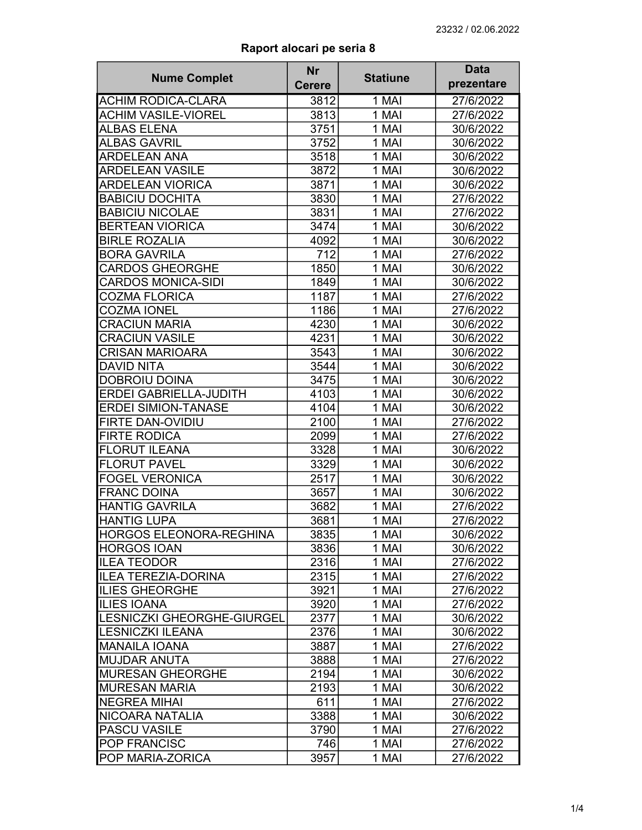| <b>Nume Complet</b>                                     | <b>Nr</b>     | <b>Statiune</b> | <b>Data</b><br>prezentare |
|---------------------------------------------------------|---------------|-----------------|---------------------------|
|                                                         | <b>Cerere</b> |                 |                           |
| <b>ACHIM RODICA-CLARA</b><br><b>ACHIM VASILE-VIOREL</b> | 3812          | 1 MAI           | 27/6/2022                 |
|                                                         | 3813<br>3751  | 1 MAI           | 27/6/2022                 |
| <b>ALBAS ELENA</b>                                      |               | 1 MAI           | 30/6/2022                 |
| <b>ALBAS GAVRIL</b>                                     | 3752          | 1 MAI           | 30/6/2022                 |
| <b>ARDELEAN ANA</b>                                     | 3518          | 1 MAI           | 30/6/2022                 |
| <b>ARDELEAN VASILE</b>                                  | 3872          | 1 MAI           | 30/6/2022                 |
| <b>ARDELEAN VIORICA</b>                                 | 3871          | 1 MAI           | 30/6/2022                 |
| <b>BABICIU DOCHITA</b>                                  | 3830          | 1 MAI           | 27/6/2022                 |
| <b>BABICIU NICOLAE</b>                                  | 3831          | 1 MAI           | 27/6/2022                 |
| <b>BERTEAN VIORICA</b>                                  | 3474          | 1 MAI           | 30/6/2022                 |
| <b>BIRLE ROZALIA</b>                                    | 4092          | 1 MAI           | 30/6/2022                 |
| <b>BORA GAVRILA</b>                                     | 712           | 1 MAI           | 27/6/2022                 |
| <b>CARDOS GHEORGHE</b>                                  | 1850          | 1 MAI           | 30/6/2022                 |
| <b>CARDOS MONICA-SIDI</b>                               | 1849          | 1 MAI           | 30/6/2022                 |
| <b>COZMA FLORICA</b>                                    | 1187          | 1 MAI           | 27/6/2022                 |
| <b>COZMA IONEL</b>                                      | 1186          | 1 MAI           | 27/6/2022                 |
| <b>CRACIUN MARIA</b>                                    | 4230          | 1 MAI           | 30/6/2022                 |
| <b>CRACIUN VASILE</b>                                   | 4231          | 1 MAI           | 30/6/2022                 |
| <b>CRISAN MARIOARA</b>                                  | 3543          | $1$ MAI         | 30/6/2022                 |
| <b>DAVID NITA</b>                                       | 3544          | 1 MAI           | 30/6/2022                 |
| <b>DOBROIU DOINA</b>                                    | 3475          | 1 MAI           | 30/6/2022                 |
| ERDEI GABRIELLA-JUDITH                                  | 4103          | 1 MAI           | 30/6/2022                 |
| <b>ERDEI SIMION-TANASE</b>                              | 4104          | 1 MAI           | 30/6/2022                 |
| FIRTE DAN-OVIDIU                                        | 2100          | 1 MAI           | 27/6/2022                 |
| <b>FIRTE RODICA</b>                                     | 2099          | 1 MAI           | 27/6/2022                 |
| <b>FLORUT ILEANA</b>                                    | 3328          | 1 MAI           | 30/6/2022                 |
| <b>FLORUT PAVEL</b>                                     | 3329          | 1 MAI           | 30/6/2022                 |
| <b>FOGEL VERONICA</b>                                   | 2517          | 1 MAI           | 30/6/2022                 |
| <b>FRANC DOINA</b>                                      | 3657          | 1 MAI           | 30/6/2022                 |
| <b>HANTIG GAVRILA</b>                                   | 3682          | 1 MAI           | 27/6/2022                 |
| <b>HANTIG LUPA</b>                                      | 3681          | 1 MAI           | 27/6/2022                 |
| <b>HORGOS ELEONORA-REGHINA</b>                          | 3835          | 1 MAI           | 30/6/2022                 |
| <b>HORGOS IOAN</b>                                      | 3836          | 1 MAI           | 30/6/2022                 |
| <b>ILEA TEODOR</b>                                      | 2316          | 1 MAI           | 27/6/2022                 |
| <b>ILEA TEREZIA-DORINA</b>                              | 2315          | 1 MAI           | 27/6/2022                 |
| <b>ILIES GHEORGHE</b>                                   | 3921          | 1 MAI           | 27/6/2022                 |
| <b>ILIES IOANA</b>                                      | 3920          | 1 MAI           | 27/6/2022                 |
| LESNICZKI GHEORGHE-GIURGEL                              | 2377          | 1 MAI           | 30/6/2022                 |
| <b>LESNICZKI ILEANA</b>                                 | 2376          | 1 MAI           | 30/6/2022                 |
| <b>MANAILA IOANA</b>                                    | 3887          | 1 MAI           | 27/6/2022                 |
| <b>MUJDAR ANUTA</b>                                     | 3888          | 1 MAI           | 27/6/2022                 |
| <b>MURESAN GHEORGHE</b>                                 | 2194          | 1 MAI           | 30/6/2022                 |
| <b>MURESAN MARIA</b>                                    |               | 1 MAI           |                           |
|                                                         | 2193          |                 | 30/6/2022                 |
| <b>NEGREA MIHAI</b>                                     | 611           | 1 MAI           | 27/6/2022                 |
| NICOARA NATALIA                                         | 3388          | 1 MAI           | 30/6/2022                 |
| <b>PASCU VASILE</b>                                     | 3790          | 1 MAI           | 27/6/2022                 |
| <b>POP FRANCISC</b>                                     | 746           | 1 MAI           | 27/6/2022                 |
| <b>POP MARIA-ZORICA</b>                                 | 3957          | 1 MAI           | 27/6/2022                 |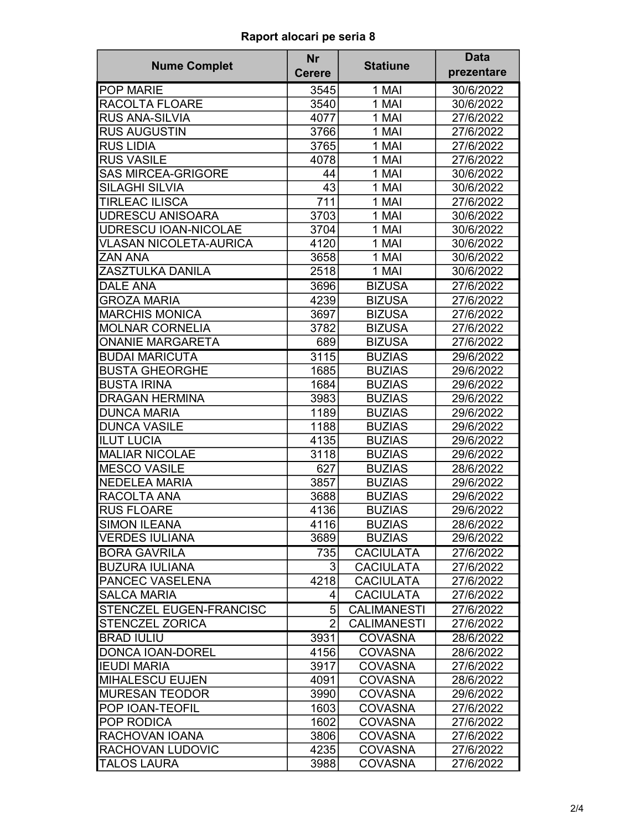|                               | <b>Nr</b>      |                    | <b>Data</b> |
|-------------------------------|----------------|--------------------|-------------|
| <b>Nume Complet</b>           | <b>Cerere</b>  | <b>Statiune</b>    | prezentare  |
| <b>POP MARIE</b>              | 3545           | 1 MAI              | 30/6/2022   |
| RACOLTA FLOARE                | 3540           | 1 MAI              | 30/6/2022   |
| <b>RUS ANA-SILVIA</b>         | 4077           | 1 MAI              | 27/6/2022   |
| <b>RUS AUGUSTIN</b>           | 3766           | 1 MAI              | 27/6/2022   |
| <b>RUS LIDIA</b>              | 3765           | 1 MAI              | 27/6/2022   |
| <b>RUS VASILE</b>             | 4078           | 1 MAI              | 27/6/2022   |
| <b>SAS MIRCEA-GRIGORE</b>     | 44             | 1 MAI              | 30/6/2022   |
| <b>SILAGHI SILVIA</b>         | 43             | 1 MAI              | 30/6/2022   |
| <b>TIRLEAC ILISCA</b>         | 711            | 1 MAI              | 27/6/2022   |
| <b>UDRESCU ANISOARA</b>       | 3703           | 1 MAI              | 30/6/2022   |
| <b>UDRESCU IOAN-NICOLAE</b>   | 3704           | 1 MAI              | 30/6/2022   |
| <b>VLASAN NICOLETA-AURICA</b> | 4120           | 1 MAI              | 30/6/2022   |
| <b>ZAN ANA</b>                | 3658           | 1 MAI              | 30/6/2022   |
| ZASZTULKA DANILA              | 2518           | 1 MAI              | 30/6/2022   |
| <b>DALE ANA</b>               | 3696           | <b>BIZUSA</b>      | 27/6/2022   |
| <b>GROZA MARIA</b>            | 4239           | <b>BIZUSA</b>      | 27/6/2022   |
| <b>MARCHIS MONICA</b>         | 3697           | <b>BIZUSA</b>      | 27/6/2022   |
| <b>MOLNAR CORNELIA</b>        | 3782           | <b>BIZUSA</b>      | 27/6/2022   |
| <b>ONANIE MARGARETA</b>       | 689            | <b>BIZUSA</b>      | 27/6/2022   |
| <b>BUDAI MARICUTA</b>         | 3115           | <b>BUZIAS</b>      | 29/6/2022   |
| <b>BUSTA GHEORGHE</b>         | 1685           | <b>BUZIAS</b>      | 29/6/2022   |
| <b>BUSTA IRINA</b>            | 1684           | <b>BUZIAS</b>      | 29/6/2022   |
| <b>DRAGAN HERMINA</b>         | 3983           | <b>BUZIAS</b>      | 29/6/2022   |
| <b>DUNCA MARIA</b>            | 1189           | <b>BUZIAS</b>      | 29/6/2022   |
| <b>DUNCA VASILE</b>           | 1188           | <b>BUZIAS</b>      | 29/6/2022   |
| <b>ILUT LUCIA</b>             | 4135           | <b>BUZIAS</b>      | 29/6/2022   |
| <b>MALIAR NICOLAE</b>         | 3118           | <b>BUZIAS</b>      | 29/6/2022   |
| <b>MESCO VASILE</b>           | 627            | <b>BUZIAS</b>      | 28/6/2022   |
| <b>NEDELEA MARIA</b>          | 3857           | <b>BUZIAS</b>      | 29/6/2022   |
| RACOLTA ANA                   | 3688           | <b>BUZIAS</b>      | 29/6/2022   |
| <b>RUS FLOARE</b>             | 4136           | <b>BUZIAS</b>      | 29/6/2022   |
| <b>SIMON ILEANA</b>           | 4116           | <b>BUZIAS</b>      | 28/6/2022   |
| <b>VERDES IULIANA</b>         | 3689           | <b>BUZIAS</b>      | 29/6/2022   |
| <b>BORA GAVRILA</b>           | 735            | <b>CACIULATA</b>   | 27/6/2022   |
| <b>BUZURA IULIANA</b>         | 3              | <b>CACIULATA</b>   | 27/6/2022   |
| PANCEC VASELENA               | 4218           | <b>CACIULATA</b>   | 27/6/2022   |
| <b>SALCA MARIA</b>            | 4              | <b>CACIULATA</b>   | 27/6/2022   |
| STENCZEL EUGEN-FRANCISC       | 5              | <b>CALIMANESTI</b> | 27/6/2022   |
| <b>STENCZEL ZORICA</b>        | $\overline{2}$ | <b>CALIMANESTI</b> | 27/6/2022   |
| <b>BRAD IULIU</b>             | 3931           | <b>COVASNA</b>     | 28/6/2022   |
| <b>DONCA IOAN-DOREL</b>       | 4156           | <b>COVASNA</b>     | 28/6/2022   |
| <b>IEUDI MARIA</b>            | 3917           | <b>COVASNA</b>     | 27/6/2022   |
| <b>MIHALESCU EUJEN</b>        | 4091           | <b>COVASNA</b>     | 28/6/2022   |
| <b>MURESAN TEODOR</b>         | 3990           | <b>COVASNA</b>     | 29/6/2022   |
| POP IOAN-TEOFIL               | 1603           | <b>COVASNA</b>     | 27/6/2022   |
| POP RODICA                    | 1602           | <b>COVASNA</b>     | 27/6/2022   |
| RACHOVAN IOANA                | 3806           | <b>COVASNA</b>     | 27/6/2022   |
| RACHOVAN LUDOVIC              | 4235           | <b>COVASNA</b>     | 27/6/2022   |
| <b>TALOS LAURA</b>            | 3988           | <b>COVASNA</b>     | 27/6/2022   |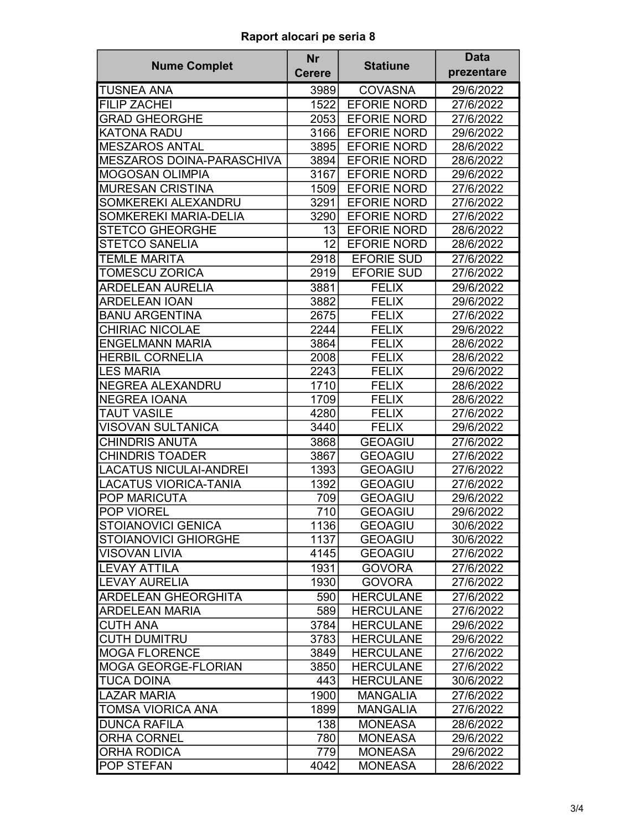| <b>Nume Complet</b>           | <b>Nr</b>     | <b>Statiune</b>    | <b>Data</b> |
|-------------------------------|---------------|--------------------|-------------|
|                               | <b>Cerere</b> |                    | prezentare  |
| <b>TUSNEA ANA</b>             | 3989          | <b>COVASNA</b>     | 29/6/2022   |
| <b>FILIP ZACHEI</b>           | 1522          | <b>EFORIE NORD</b> | 27/6/2022   |
| <b>GRAD GHEORGHE</b>          | 2053          | <b>EFORIE NORD</b> | 27/6/2022   |
| <b>KATONA RADU</b>            | 3166          | <b>EFORIE NORD</b> | 29/6/2022   |
| <b>MESZAROS ANTAL</b>         | 3895          | <b>EFORIE NORD</b> | 28/6/2022   |
| MESZAROS DOINA-PARASCHIVA     | 3894          | <b>EFORIE NORD</b> | 28/6/2022   |
| <b>MOGOSAN OLIMPIA</b>        | 3167          | <b>EFORIE NORD</b> | 29/6/2022   |
| <b>MURESAN CRISTINA</b>       | 1509          | <b>EFORIE NORD</b> | 27/6/2022   |
| SOMKEREKI ALEXANDRU           | 3291          | <b>EFORIE NORD</b> | 27/6/2022   |
| SOMKEREKI MARIA-DELIA         | 3290          | <b>EFORIE NORD</b> | 27/6/2022   |
| <b>STETCO GHEORGHE</b>        | 13            | <b>EFORIE NORD</b> | 28/6/2022   |
| <b>STETCO SANELIA</b>         | 12            | <b>EFORIE NORD</b> | 28/6/2022   |
| <b>TEMLE MARITA</b>           | 2918          | <b>EFORIE SUD</b>  | 27/6/2022   |
| <b>TOMESCU ZORICA</b>         | 2919          | <b>EFORIE SUD</b>  | 27/6/2022   |
| <b>ARDELEAN AURELIA</b>       | 3881          | <b>FELIX</b>       | 29/6/2022   |
| <b>ARDELEAN IOAN</b>          | 3882          | <b>FELIX</b>       | 29/6/2022   |
| <b>BANU ARGENTINA</b>         | 2675          | <b>FELIX</b>       | 27/6/2022   |
| <b>CHIRIAC NICOLAE</b>        | 2244          | <b>FELIX</b>       | 29/6/2022   |
| <b>ENGELMANN MARIA</b>        | 3864          | <b>FELIX</b>       | 28/6/2022   |
| <b>HERBIL CORNELIA</b>        | 2008          | <b>FELIX</b>       | 28/6/2022   |
| <b>LES MARIA</b>              | 2243          | <b>FELIX</b>       | 29/6/2022   |
| NEGREA ALEXANDRU              | 1710          | <b>FELIX</b>       | 28/6/2022   |
| <b>NEGREA IOANA</b>           | 1709          | <b>FELIX</b>       | 28/6/2022   |
| <b>TAUT VASILE</b>            | 4280          | <b>FELIX</b>       | 27/6/2022   |
| <b>VISOVAN SULTANICA</b>      | 3440          | <b>FELIX</b>       | 29/6/2022   |
| <b>CHINDRIS ANUTA</b>         | 3868          | <b>GEOAGIU</b>     | 27/6/2022   |
| <b>CHINDRIS TOADER</b>        | 3867          | <b>GEOAGIU</b>     | 27/6/2022   |
| <b>LACATUS NICULAI-ANDREI</b> | 1393          | <b>GEOAGIU</b>     | 27/6/2022   |
| <b>LACATUS VIORICA-TANIA</b>  | 1392          | <b>GEOAGIU</b>     | 27/6/2022   |
| <b>POP MARICUTA</b>           | 709           | <b>GEOAGIU</b>     | 29/6/2022   |
| <b>POP VIOREL</b>             | 710           | <b>GEOAGIU</b>     | 29/6/2022   |
| <b>STOIANOVICI GENICA</b>     | 1136          | <b>GEOAGIU</b>     | 30/6/2022   |
| <b>STOIANOVICI GHIORGHE</b>   | 1137          | <b>GEOAGIU</b>     | 30/6/2022   |
| <b>VISOVAN LIVIA</b>          | 4145          | <b>GEOAGIU</b>     | 27/6/2022   |
| <b>LEVAY ATTILA</b>           | 1931          | <b>GOVORA</b>      | 27/6/2022   |
| <b>LEVAY AURELIA</b>          | 1930          | <b>GOVORA</b>      | 27/6/2022   |
| <b>ARDELEAN GHEORGHITA</b>    | 590           | <b>HERCULANE</b>   | 27/6/2022   |
| <b>ARDELEAN MARIA</b>         | 589           | <b>HERCULANE</b>   | 27/6/2022   |
| <b>CUTH ANA</b>               | 3784          | <b>HERCULANE</b>   | 29/6/2022   |
| <b>CUTH DUMITRU</b>           | 3783          | <b>HERCULANE</b>   | 29/6/2022   |
| <b>MOGA FLORENCE</b>          | 3849          | <b>HERCULANE</b>   | 27/6/2022   |
| <b>MOGA GEORGE-FLORIAN</b>    | 3850          | <b>HERCULANE</b>   | 27/6/2022   |
| <b>TUCA DOINA</b>             | 443           | <b>HERCULANE</b>   | 30/6/2022   |
| <b>LAZAR MARIA</b>            | 1900          | <b>MANGALIA</b>    | 27/6/2022   |
| <b>TOMSA VIORICA ANA</b>      | 1899          | <b>MANGALIA</b>    | 27/6/2022   |
| <b>DUNCA RAFILA</b>           | 138           | <b>MONEASA</b>     | 28/6/2022   |
| <b>ORHA CORNEL</b>            | 780           | <b>MONEASA</b>     | 29/6/2022   |
| <b>ORHA RODICA</b>            | 779           | <b>MONEASA</b>     | 29/6/2022   |
| POP STEFAN                    | 4042          | <b>MONEASA</b>     | 28/6/2022   |